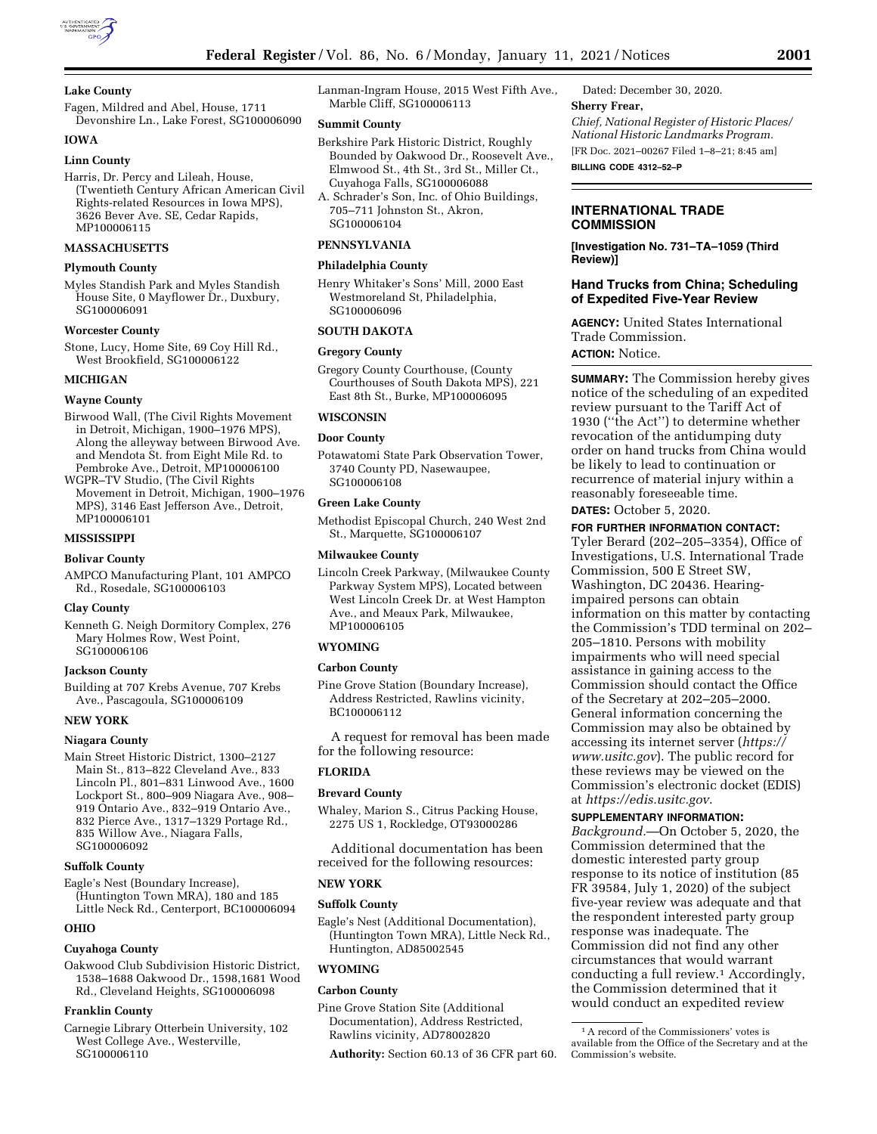

## **Lake County**

Fagen, Mildred and Abel, House, 1711 Devonshire Ln., Lake Forest, SG100006090

# **IOWA**

## **Linn County**

Harris, Dr. Percy and Lileah, House, (Twentieth Century African American Civil Rights-related Resources in Iowa MPS), 3626 Bever Ave. SE, Cedar Rapids, MP100006115

## **MASSACHUSETTS**

# **Plymouth County**

Myles Standish Park and Myles Standish House Site, 0 Mayflower Dr., Duxbury, SG100006091

#### **Worcester County**

Stone, Lucy, Home Site, 69 Coy Hill Rd., West Brookfield, SG100006122

#### **MICHIGAN**

## **Wayne County**

Birwood Wall, (The Civil Rights Movement in Detroit, Michigan, 1900–1976 MPS), Along the alleyway between Birwood Ave. and Mendota St. from Eight Mile Rd. to Pembroke Ave., Detroit, MP100006100

WGPR–TV Studio, (The Civil Rights Movement in Detroit, Michigan, 1900–1976 MPS), 3146 East Jefferson Ave., Detroit, MP100006101

### **MISSISSIPPI**

#### **Bolivar County**

AMPCO Manufacturing Plant, 101 AMPCO Rd., Rosedale, SG100006103

#### **Clay County**

Kenneth G. Neigh Dormitory Complex, 276 Mary Holmes Row, West Point, SG100006106

### **Jackson County**

Building at 707 Krebs Avenue, 707 Krebs Ave., Pascagoula, SG100006109

#### **NEW YORK**

#### **Niagara County**

Main Street Historic District, 1300–2127 Main St., 813–822 Cleveland Ave., 833 Lincoln Pl., 801–831 Linwood Ave., 1600 Lockport St., 800–909 Niagara Ave., 908– 919 Ontario Ave., 832–919 Ontario Ave., 832 Pierce Ave., 1317–1329 Portage Rd., 835 Willow Ave., Niagara Falls, SG100006092

### **Suffolk County**

Eagle's Nest (Boundary Increase), (Huntington Town MRA), 180 and 185 Little Neck Rd., Centerport, BC100006094

## **OHIO**

## **Cuyahoga County**

Oakwood Club Subdivision Historic District, 1538–1688 Oakwood Dr., 1598,1681 Wood Rd., Cleveland Heights, SG100006098

#### **Franklin County**

Carnegie Library Otterbein University, 102 West College Ave., Westerville, SG100006110

Lanman-Ingram House, 2015 West Fifth Ave., Marble Cliff, SG100006113

#### **Summit County**

Berkshire Park Historic District, Roughly Bounded by Oakwood Dr., Roosevelt Ave., Elmwood St., 4th St., 3rd St., Miller Ct., Cuyahoga Falls, SG100006088

A. Schrader's Son, Inc. of Ohio Buildings, 705–711 Johnston St., Akron, SG100006104

## **PENNSYLVANIA**

## **Philadelphia County**

Henry Whitaker's Sons' Mill, 2000 East Westmoreland St, Philadelphia, SG100006096

## **SOUTH DAKOTA**

## **Gregory County**

Gregory County Courthouse, (County Courthouses of South Dakota MPS), 221 East 8th St., Burke, MP100006095

### **WISCONSIN**

#### **Door County**

Potawatomi State Park Observation Tower, 3740 County PD, Nasewaupee, SG100006108

### **Green Lake County**

Methodist Episcopal Church, 240 West 2nd St., Marquette, SG100006107

#### **Milwaukee County**

Lincoln Creek Parkway, (Milwaukee County Parkway System MPS), Located between West Lincoln Creek Dr. at West Hampton Ave., and Meaux Park, Milwaukee, MP100006105

#### **WYOMING**

#### **Carbon County**

Pine Grove Station (Boundary Increase), Address Restricted, Rawlins vicinity, BC100006112

A request for removal has been made for the following resource:

## **FLORIDA**

## **Brevard County**

Whaley, Marion S., Citrus Packing House, 2275 US 1, Rockledge, OT93000286

Additional documentation has been received for the following resources:

### **NEW YORK**

#### **Suffolk County**

Eagle's Nest (Additional Documentation), (Huntington Town MRA), Little Neck Rd., Huntington, AD85002545

#### **WYOMING**

## **Carbon County**

Pine Grove Station Site (Additional Documentation), Address Restricted, Rawlins vicinity, AD78002820

**Authority:** Section 60.13 of 36 CFR part 60.

Dated: December 30, 2020. **Sherry Frear,**  *Chief, National Register of Historic Places/ National Historic Landmarks Program.*  [FR Doc. 2021–00267 Filed 1–8–21; 8:45 am] **BILLING CODE 4312–52–P** 

## **INTERNATIONAL TRADE COMMISSION**

**[Investigation No. 731–TA–1059 (Third Review)]** 

## **Hand Trucks from China; Scheduling of Expedited Five-Year Review**

**AGENCY:** United States International Trade Commission. **ACTION:** Notice.

**SUMMARY:** The Commission hereby gives notice of the scheduling of an expedited review pursuant to the Tariff Act of 1930 (''the Act'') to determine whether revocation of the antidumping duty order on hand trucks from China would be likely to lead to continuation or recurrence of material injury within a reasonably foreseeable time.

**DATES:** October 5, 2020.

## **FOR FURTHER INFORMATION CONTACT:**

Tyler Berard (202–205–3354), Office of Investigations, U.S. International Trade Commission, 500 E Street SW, Washington, DC 20436. Hearingimpaired persons can obtain information on this matter by contacting the Commission's TDD terminal on 202– 205–1810. Persons with mobility impairments who will need special assistance in gaining access to the Commission should contact the Office of the Secretary at 202–205–2000. General information concerning the Commission may also be obtained by accessing its internet server (*[https://](https://www.usitc.gov) [www.usitc.gov](https://www.usitc.gov)*). The public record for these reviews may be viewed on the Commission's electronic docket (EDIS) at *<https://edis.usitc.gov>*.

#### **SUPPLEMENTARY INFORMATION:**

*Background.*—On October 5, 2020, the Commission determined that the domestic interested party group response to its notice of institution (85 FR 39584, July 1, 2020) of the subject five-year review was adequate and that the respondent interested party group response was inadequate. The Commission did not find any other circumstances that would warrant conducting a full review.1 Accordingly, the Commission determined that it would conduct an expedited review

<sup>1</sup>A record of the Commissioners' votes is available from the Office of the Secretary and at the Commission's website.